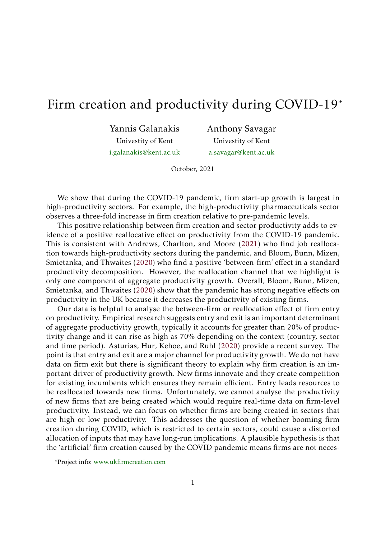## Firm creation and productivity during COVID-19<sup>∗</sup>

Yannis Galanakis Univestity of Kent [i.galanakis@kent.ac.uk](mailto:i.galanakis@kent.ac.uk) Anthony Savagar Univestity of Kent [a.savagar@kent.ac.uk](mailto:a.savagar@kent.ac.uk)

October, 2021

We show that during the COVID-19 pandemic, firm start-up growth is largest in high-productivity sectors. For example, the high-productivity pharmaceuticals sector observes a three-fold increase in firm creation relative to pre-pandemic levels.

This positive relationship between firm creation and sector productivity adds to evidence of a positive reallocative effect on productivity from the COVID-19 pandemic. This is consistent with Andrews, Charlton, and Moore ([2021](#page-2-0)) who find job reallocation towards high-productivity sectors during the pandemic, and Bloom, Bunn, Mizen, Smietanka, and Thwaites [\(2020\)](#page-2-1) who find a positive 'between-firm' effect in a standard productivity decomposition. However, the reallocation channel that we highlight is only one component of aggregate productivity growth. Overall, Bloom, Bunn, Mizen, Smietanka, and Thwaites ([2020\)](#page-2-1) show that the pandemic has strong negative effects on productivity in the UK because it decreases the productivity of existing firms.

Our data is helpful to analyse the between-firm or reallocation effect of firm entry on productivity. Empirical research suggests entry and exit is an important determinant of aggregate productivity growth, typically it accounts for greater than 20% of productivity change and it can rise as high as 70% depending on the context (country, sector and time period). Asturias, Hur, Kehoe, and Ruhl [\(2020](#page-2-2)) provide a recent survey. The point is that entry and exit are a major channel for productivity growth. We do not have data on firm exit but there is significant theory to explain why firm creation is an important driver of productivity growth. New firms innovate and they create competition for existing incumbents which ensures they remain efficient. Entry leads resources to be reallocated towards new firms. Unfortunately, we cannot analyse the productivity of new firms that are being created which would require real-time data on firm-level productivity. Instead, we can focus on whether firms are being created in sectors that are high or low productivity. This addresses the question of whether booming firm creation during COVID, which is restricted to certain sectors, could cause a distorted allocation of inputs that may have long-run implications. A plausible hypothesis is that the 'artificial' firm creation caused by the COVID pandemic means firms are not neces-

<sup>∗</sup>Project info: [www.ukfirmcreation.com](https://www.ukfirmcreation.com/)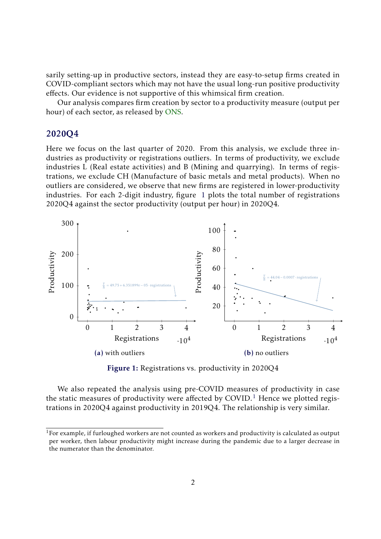sarily setting-up in productive sectors, instead they are easy-to-setup firms created in COVID-compliant sectors which may not have the usual long-run positive productivity effects. Our evidence is not supportive of this whimsical firm creation.

Our analysis compares firm creation by sector to a productivity measure (output per hour) of each sector, as released by [ONS](https://www.ons.gov.uk/economy/economicoutputandproductivity/productivitymeasures/datasets/flashproductivitybysection).

## 2020Q4

Here we focus on the last quarter of 2020. From this analysis, we exclude three industries as productivity or registrations outliers. In terms of productivity, we exclude industries L (Real estate activities) and B (Mining and quarrying). In terms of registrations, we exclude CH (Manufacture of basic metals and metal products). When no outliers are considered, we observe that new firms are registered in lower-productivity industries. For each 2-digit industry, figure [1](#page-1-0) plots the total number of registrations 2020Q4 against the sector productivity (output per hour) in 2020Q4.

<span id="page-1-0"></span>

Figure 1: Registrations vs. productivity in 2020Q4

We also repeated the analysis using pre-COVID measures of productivity in case the static measures of productivity were affected by  $\text{COVID.}^1$  Hence we plotted registrations in 2020Q4 against productivity in 2019Q4. The relationship is very similar.

 $1$ For example, if furloughed workers are not counted as workers and productivity is calculated as output per worker, then labour productivity might increase during the pandemic due to a larger decrease in the numerator than the denominator.